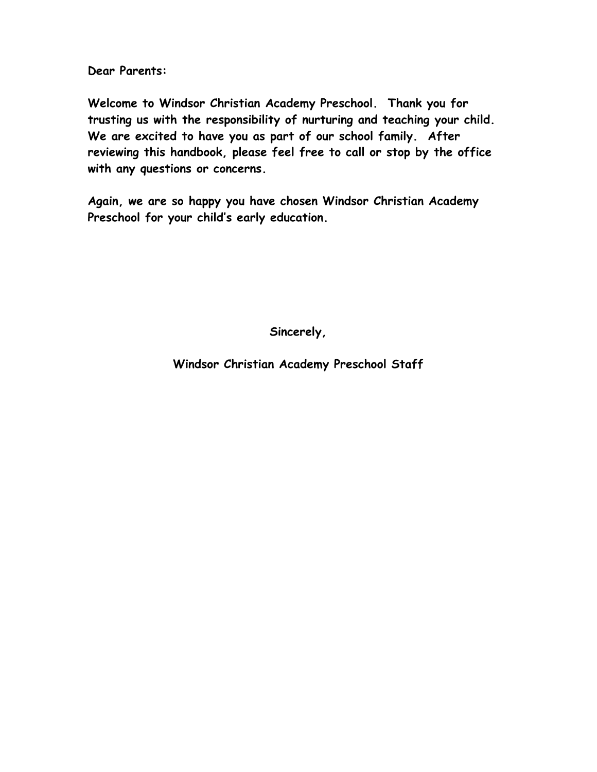**Dear Parents:**

**Welcome to Windsor Christian Academy Preschool. Thank you for trusting us with the responsibility of nurturing and teaching your child. We are excited to have you as part of our school family. After reviewing this handbook, please feel free to call or stop by the office with any questions or concerns.** 

**Again, we are so happy you have chosen Windsor Christian Academy Preschool for your child's early education.** 

**Sincerely,**

**Windsor Christian Academy Preschool Staff**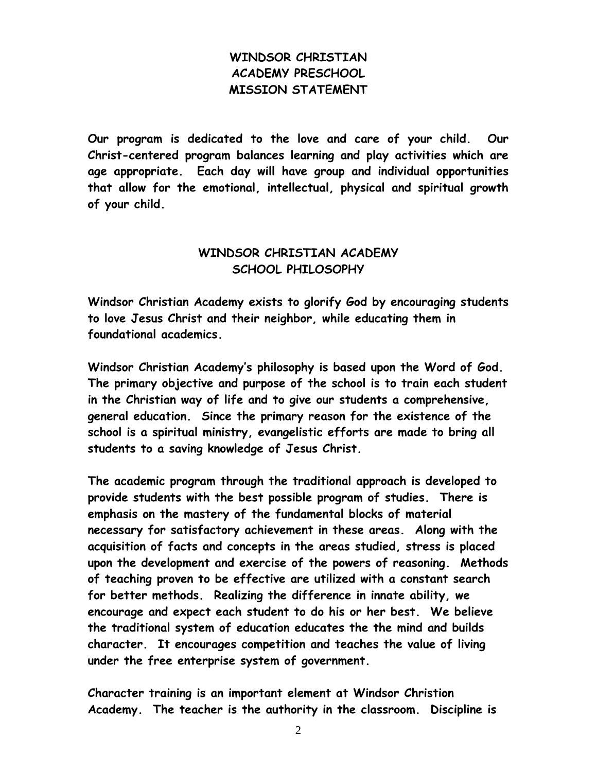# **WINDSOR CHRISTIAN ACADEMY PRESCHOOL MISSION STATEMENT**

**Our program is dedicated to the love and care of your child. Our Christ-centered program balances learning and play activities which are age appropriate. Each day will have group and individual opportunities that allow for the emotional, intellectual, physical and spiritual growth of your child.**

# **WINDSOR CHRISTIAN ACADEMY SCHOOL PHILOSOPHY**

**Windsor Christian Academy exists to glorify God by encouraging students to love Jesus Christ and their neighbor, while educating them in foundational academics.**

**Windsor Christian Academy's philosophy is based upon the Word of God. The primary objective and purpose of the school is to train each student in the Christian way of life and to give our students a comprehensive, general education. Since the primary reason for the existence of the school is a spiritual ministry, evangelistic efforts are made to bring all students to a saving knowledge of Jesus Christ.**

**The academic program through the traditional approach is developed to provide students with the best possible program of studies. There is emphasis on the mastery of the fundamental blocks of material necessary for satisfactory achievement in these areas. Along with the acquisition of facts and concepts in the areas studied, stress is placed upon the development and exercise of the powers of reasoning. Methods of teaching proven to be effective are utilized with a constant search for better methods. Realizing the difference in innate ability, we encourage and expect each student to do his or her best. We believe the traditional system of education educates the the mind and builds character. It encourages competition and teaches the value of living under the free enterprise system of government.**

**Character training is an important element at Windsor Christion Academy. The teacher is the authority in the classroom. Discipline is**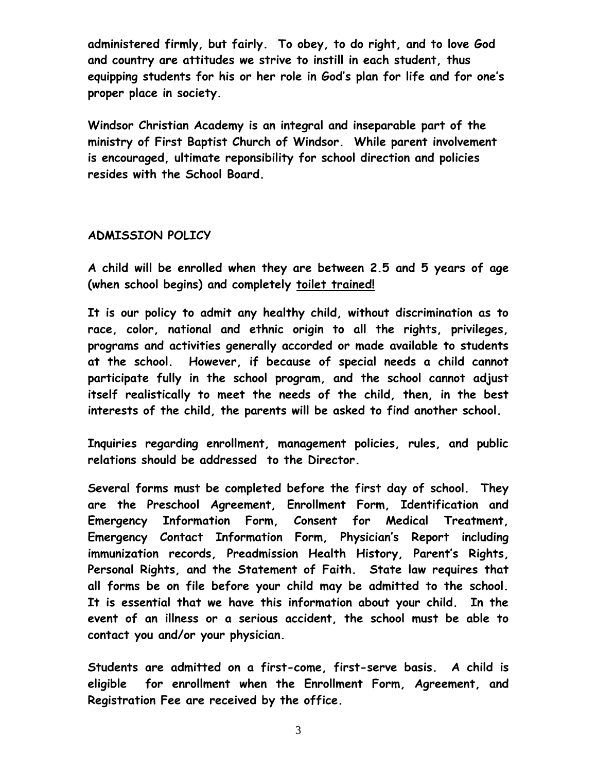**administered firmly, but fairly. To obey, to do right, and to love God and country are attitudes we strive to instill in each student, thus equipping students for his or her role in God's plan for life and for one's proper place in society.**

**Windsor Christian Academy is an integral and inseparable part of the ministry of First Baptist Church of Windsor. While parent involvement is encouraged, ultimate reponsibility for school direction and policies resides with the School Board.**

#### **ADMISSION POLICY**

**A child will be enrolled when they are between 2.5 and 5 years of age (when school begins) and completely toilet trained!**

**It is our policy to admit any healthy child, without discrimination as to race, color, national and ethnic origin to all the rights, privileges, programs and activities generally accorded or made available to students at the school. However, if because of special needs a child cannot participate fully in the school program, and the school cannot adjust itself realistically to meet the needs of the child, then, in the best interests of the child, the parents will be asked to find another school.**

**Inquiries regarding enrollment, management policies, rules, and public relations should be addressed to the Director.**

**Several forms must be completed before the first day of school. They are the Preschool Agreement, Enrollment Form, Identification and Emergency Information Form, Consent for Medical Treatment, Emergency Contact Information Form, Physician's Report including immunization records, Preadmission Health History, Parent's Rights, Personal Rights, and the Statement of Faith. State law requires that all forms be on file before your child may be admitted to the school. It is essential that we have this information about your child. In the event of an illness or a serious accident, the school must be able to contact you and/or your physician.**

**Students are admitted on a first-come, first-serve basis. A child is eligible for enrollment when the Enrollment Form, Agreement, and Registration Fee are received by the office.**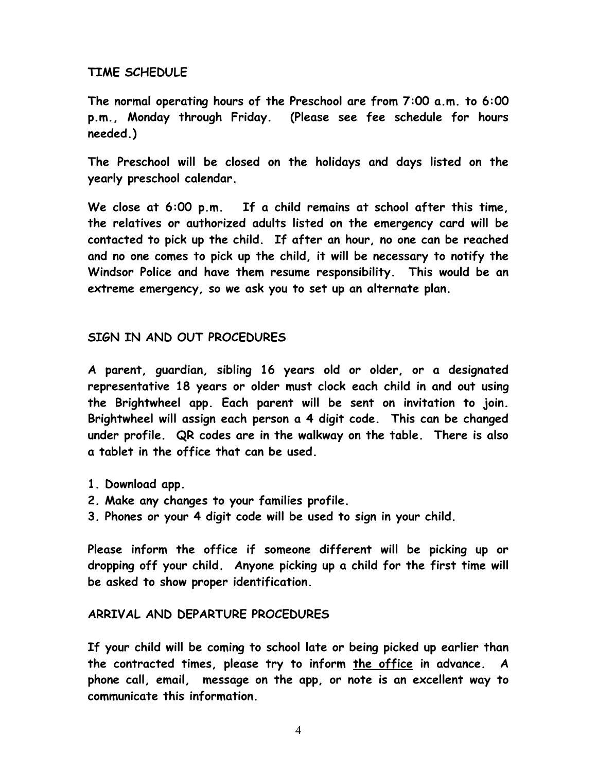### **TIME SCHEDULE**

**The normal operating hours of the Preschool are from 7:00 a.m. to 6:00 p.m., Monday through Friday. (Please see fee schedule for hours needed.)**

**The Preschool will be closed on the holidays and days listed on the yearly preschool calendar.**

**We close at 6:00 p.m. If a child remains at school after this time, the relatives or authorized adults listed on the emergency card will be contacted to pick up the child. If after an hour, no one can be reached and no one comes to pick up the child, it will be necessary to notify the Windsor Police and have them resume responsibility. This would be an extreme emergency, so we ask you to set up an alternate plan.**

### **SIGN IN AND OUT PROCEDURES**

**A parent, guardian, sibling 16 years old or older, or a designated representative 18 years or older must clock each child in and out using the Brightwheel app. Each parent will be sent on invitation to join. Brightwheel will assign each person a 4 digit code. This can be changed under profile. QR codes are in the walkway on the table. There is also a tablet in the office that can be used.**

- **1. Download app.**
- **2. Make any changes to your families profile.**
- **3. Phones or your 4 digit code will be used to sign in your child.**

**Please inform the office if someone different will be picking up or dropping off your child. Anyone picking up a child for the first time will be asked to show proper identification.** 

#### **ARRIVAL AND DEPARTURE PROCEDURES**

**If your child will be coming to school late or being picked up earlier than the contracted times, please try to inform the office in advance. A phone call, email, message on the app, or note is an excellent way to communicate this information.**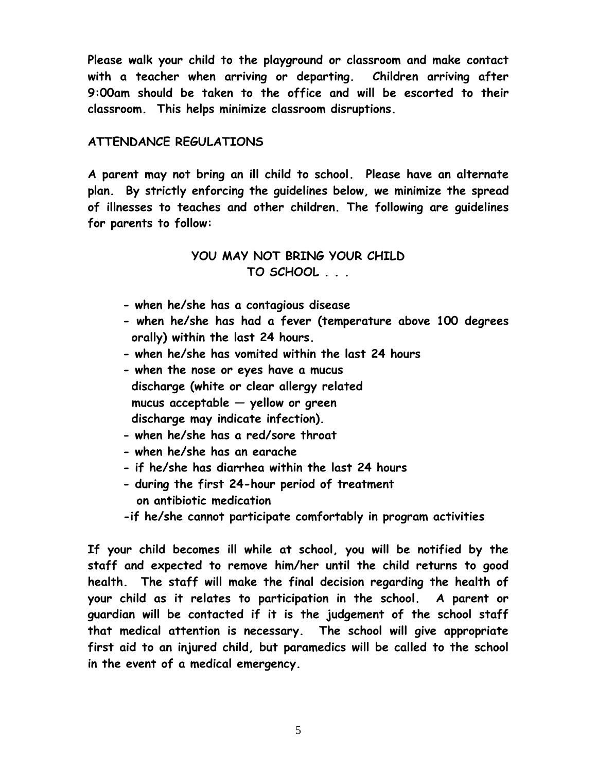**Please walk your child to the playground or classroom and make contact with a teacher when arriving or departing. Children arriving after 9:00am should be taken to the office and will be escorted to their classroom. This helps minimize classroom disruptions.**

# **ATTENDANCE REGULATIONS**

**A parent may not bring an ill child to school. Please have an alternate plan. By strictly enforcing the guidelines below, we minimize the spread of illnesses to teaches and other children. The following are guidelines for parents to follow:**

# **YOU MAY NOT BRING YOUR CHILD TO SCHOOL . . .**

- **- when he/she has a contagious disease**
- **- when he/she has had a fever (temperature above 100 degrees orally) within the last 24 hours.**
- **- when he/she has vomited within the last 24 hours**
- **- when the nose or eyes have a mucus discharge (white or clear allergy related mucus acceptable — yellow or green discharge may indicate infection).**
- **- when he/she has a red/sore throat**
- **- when he/she has an earache**
- **- if he/she has diarrhea within the last 24 hours**
- **- during the first 24-hour period of treatment on antibiotic medication**
- **-if he/she cannot participate comfortably in program activities**

**If your child becomes ill while at school, you will be notified by the staff and expected to remove him/her until the child returns to good health. The staff will make the final decision regarding the health of your child as it relates to participation in the school. A parent or guardian will be contacted if it is the judgement of the school staff that medical attention is necessary. The school will give appropriate first aid to an injured child, but paramedics will be called to the school in the event of a medical emergency.**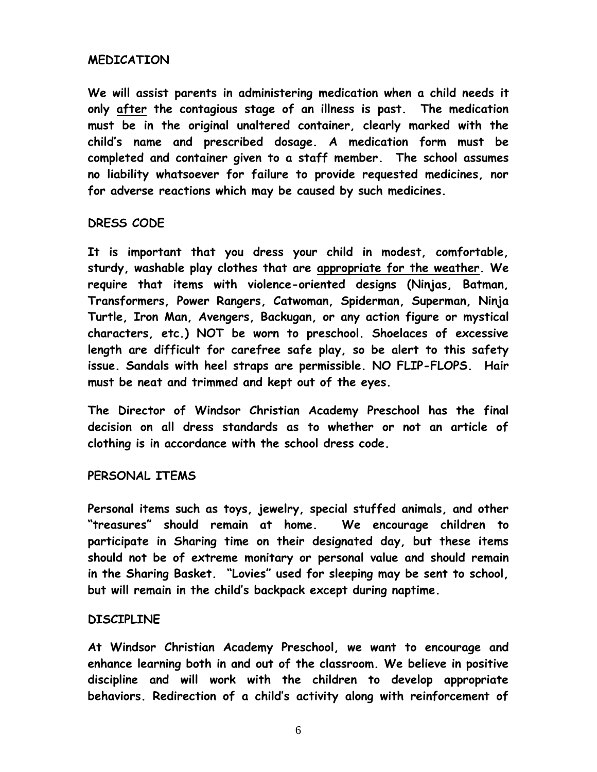### **MEDICATION**

**We will assist parents in administering medication when a child needs it only after the contagious stage of an illness is past. The medication must be in the original unaltered container, clearly marked with the child's name and prescribed dosage. A medication form must be completed and container given to a staff member. The school assumes no liability whatsoever for failure to provide requested medicines, nor for adverse reactions which may be caused by such medicines.**

# **DRESS CODE**

**It is important that you dress your child in modest, comfortable, sturdy, washable play clothes that are appropriate for the weather. We require that items with violence-oriented designs (Ninjas, Batman, Transformers, Power Rangers, Catwoman, Spiderman, Superman, Ninja Turtle, Iron Man, Avengers, Backugan, or any action figure or mystical characters, etc.) NOT be worn to preschool. Shoelaces of excessive length are difficult for carefree safe play, so be alert to this safety issue. Sandals with heel straps are permissible. NO FLIP-FLOPS. Hair must be neat and trimmed and kept out of the eyes.**

**The Director of Windsor Christian Academy Preschool has the final decision on all dress standards as to whether or not an article of clothing is in accordance with the school dress code.**

#### **PERSONAL ITEMS**

**Personal items such as toys, jewelry, special stuffed animals, and other "treasures" should remain at home. We encourage children to participate in Sharing time on their designated day, but these items should not be of extreme monitary or personal value and should remain in the Sharing Basket. "Lovies" used for sleeping may be sent to school, but will remain in the child's backpack except during naptime.**

#### **DISCIPLINE**

**At Windsor Christian Academy Preschool, we want to encourage and enhance learning both in and out of the classroom. We believe in positive discipline and will work with the children to develop appropriate behaviors. Redirection of a child's activity along with reinforcement of**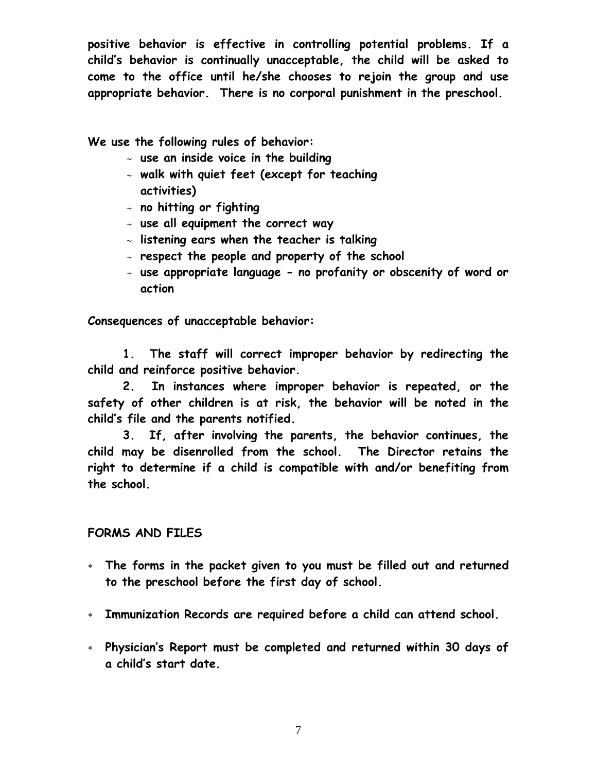**positive behavior is effective in controlling potential problems. If a child's behavior is continually unacceptable, the child will be asked to come to the office until he/she chooses to rejoin the group and use appropriate behavior. There is no corporal punishment in the preschool.**

**We use the following rules of behavior:**

- **use an inside voice in the building**
- **walk with quiet feet (except for teaching activities)**
- **no hitting or fighting**
- **use all equipment the correct way**
- **listening ears when the teacher is talking**
- **respect the people and property of the school**
- **use appropriate language - no profanity or obscenity of word or action**

**Consequences of unacceptable behavior:**

**1. The staff will correct improper behavior by redirecting the child and reinforce positive behavior.**

**2. In instances where improper behavior is repeated, or the safety of other children is at risk, the behavior will be noted in the child's file and the parents notified.**

**3. If, after involving the parents, the behavior continues, the child may be disenrolled from the school. The Director retains the right to determine if a child is compatible with and/or benefiting from the school.**

# **FORMS AND FILES**

- **The forms in the packet given to you must be filled out and returned to the preschool before the first day of school.**
- **Immunization Records are required before a child can attend school.**
- **Physician's Report must be completed and returned within 30 days of a child's start date.**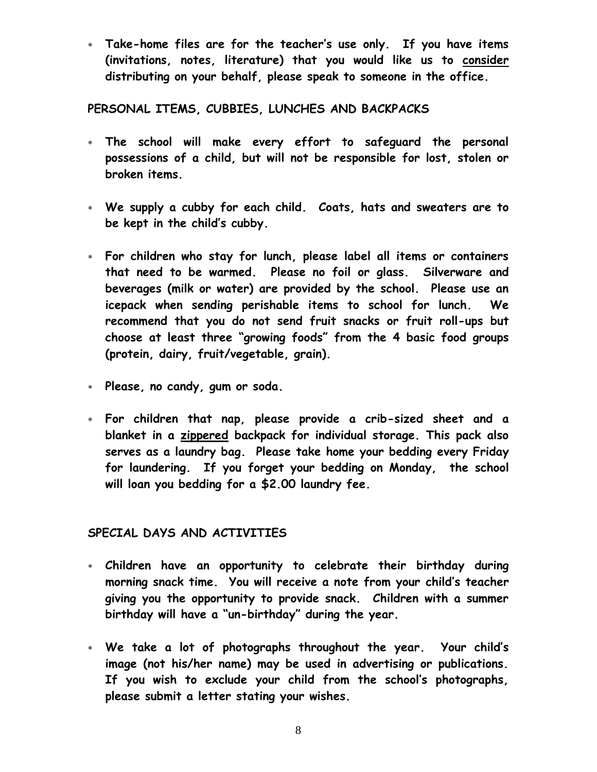**Take-home files are for the teacher's use only. If you have items (invitations, notes, literature) that you would like us to consider distributing on your behalf, please speak to someone in the office.**

**PERSONAL ITEMS, CUBBIES, LUNCHES AND BACKPACKS**

- **The school will make every effort to safeguard the personal possessions of a child, but will not be responsible for lost, stolen or broken items.**
- **We supply a cubby for each child. Coats, hats and sweaters are to be kept in the child's cubby.**
- **For children who stay for lunch, please label all items or containers that need to be warmed. Please no foil or glass. Silverware and beverages (milk or water) are provided by the school. Please use an icepack when sending perishable items to school for lunch. We recommend that you do not send fruit snacks or fruit roll-ups but choose at least three "growing foods" from the 4 basic food groups (protein, dairy, fruit/vegetable, grain).**
- **Please, no candy, gum or soda.**
- **For children that nap, please provide a crib-sized sheet and a blanket in a zippered backpack for individual storage. This pack also serves as a laundry bag. Please take home your bedding every Friday for laundering. If you forget your bedding on Monday, the school will loan you bedding for a \$2.00 laundry fee.**

# **SPECIAL DAYS AND ACTIVITIES**

- **Children have an opportunity to celebrate their birthday during morning snack time. You will receive a note from your child's teacher giving you the opportunity to provide snack. Children with a summer birthday will have a "un-birthday" during the year.**
- **We take a lot of photographs throughout the year. Your child's image (not his/her name) may be used in advertising or publications. If you wish to exclude your child from the school's photographs, please submit a letter stating your wishes.**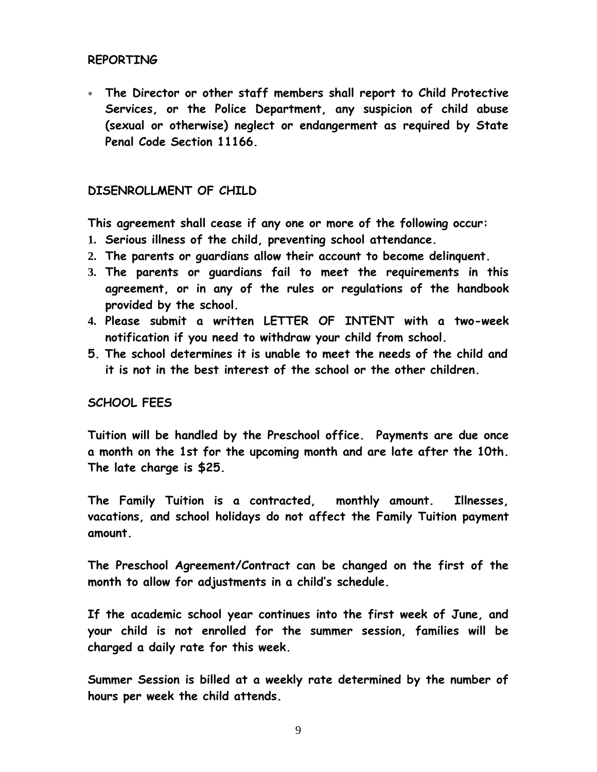### **REPORTING**

 **The Director or other staff members shall report to Child Protective Services, or the Police Department, any suspicion of child abuse (sexual or otherwise) neglect or endangerment as required by State Penal Code Section 11166.**

#### **DISENROLLMENT OF CHILD**

**This agreement shall cease if any one or more of the following occur:**

- **1. Serious illness of the child, preventing school attendance.**
- **2. The parents or guardians allow their account to become delinquent.**
- **3. The parents or guardians fail to meet the requirements in this agreement, or in any of the rules or regulations of the handbook provided by the school.**
- **4. Please submit a written LETTER OF INTENT with a two-week notification if you need to withdraw your child from school.**
- **5. The school determines it is unable to meet the needs of the child and it is not in the best interest of the school or the other children.**

#### **SCHOOL FEES**

**Tuition will be handled by the Preschool office. Payments are due once a month on the 1st for the upcoming month and are late after the 10th. The late charge is \$25.** 

**The Family Tuition is a contracted, monthly amount. Illnesses, vacations, and school holidays do not affect the Family Tuition payment amount.**

**The Preschool Agreement/Contract can be changed on the first of the month to allow for adjustments in a child's schedule.**

**If the academic school year continues into the first week of June, and your child is not enrolled for the summer session, families will be charged a daily rate for this week.** 

**Summer Session is billed at a weekly rate determined by the number of hours per week the child attends.**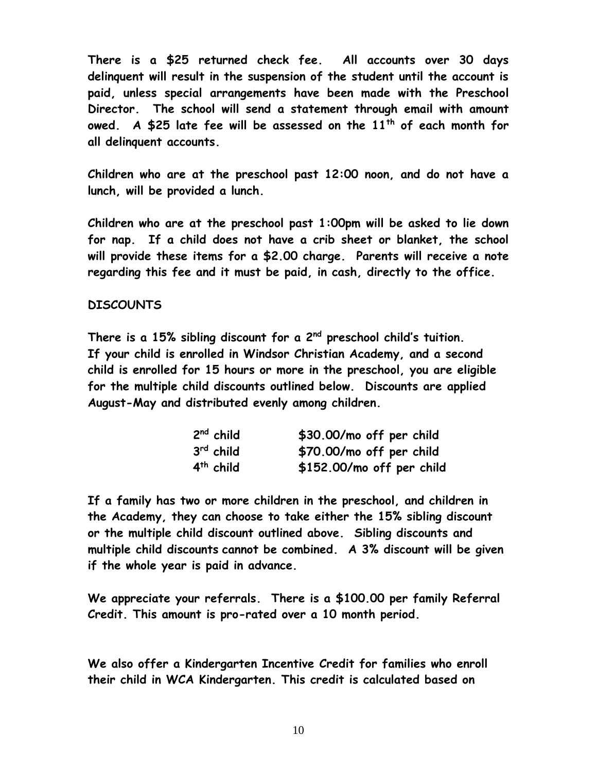**There is a \$25 returned check fee. All accounts over 30 days delinquent will result in the suspension of the student until the account is paid, unless special arrangements have been made with the Preschool Director. The school will send a statement through email with amount owed. A \$25 late fee will be assessed on the 11th of each month for all delinquent accounts.** 

**Children who are at the preschool past 12:00 noon, and do not have a lunch, will be provided a lunch.** 

**Children who are at the preschool past 1:00pm will be asked to lie down for nap. If a child does not have a crib sheet or blanket, the school will provide these items for a \$2.00 charge. Parents will receive a note regarding this fee and it must be paid, in cash, directly to the office.**

### **DISCOUNTS**

**There is a 15% sibling discount for a 2nd preschool child's tuition. If your child is enrolled in Windsor Christian Academy, and a second child is enrolled for 15 hours or more in the preschool, you are eligible for the multiple child discounts outlined below. Discounts are applied August-May and distributed evenly among children.** 

| $2nd$ child | \$30.00/mo off per child  |
|-------------|---------------------------|
| $3rd$ child | \$70.00/mo off per child  |
| $4th$ child | \$152.00/mo off per child |

**If a family has two or more children in the preschool, and children in the Academy, they can choose to take either the 15% sibling discount or the multiple child discount outlined above. Sibling discounts and multiple child discounts cannot be combined. A 3% discount will be given if the whole year is paid in advance.** 

**We appreciate your referrals. There is a \$100.00 per family Referral Credit. This amount is pro-rated over a 10 month period.**

**We also offer a Kindergarten Incentive Credit for families who enroll their child in WCA Kindergarten. This credit is calculated based on**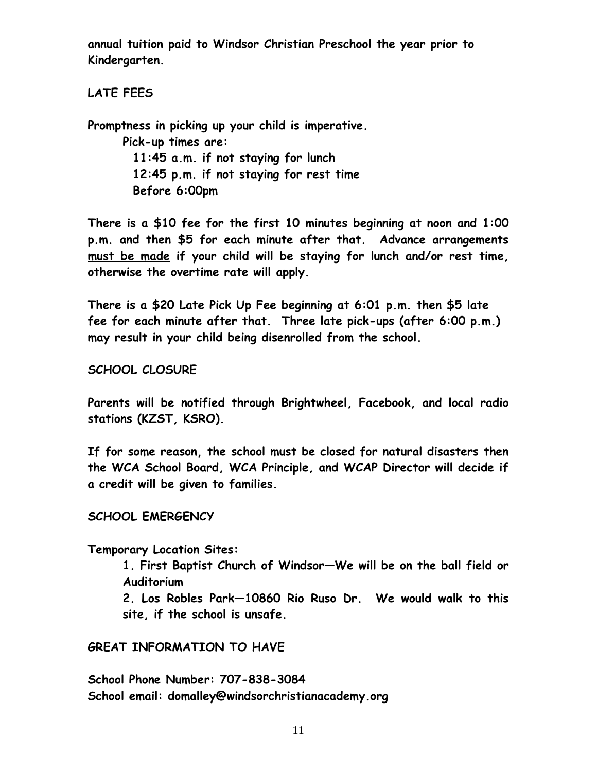**annual tuition paid to Windsor Christian Preschool the year prior to Kindergarten.** 

**LATE FEES** 

**Promptness in picking up your child is imperative. Pick-up times are: 11:45 a.m. if not staying for lunch 12:45 p.m. if not staying for rest time Before 6:00pm**

**There is a \$10 fee for the first 10 minutes beginning at noon and 1:00 p.m. and then \$5 for each minute after that. Advance arrangements must be made if your child will be staying for lunch and/or rest time, otherwise the overtime rate will apply.** 

**There is a \$20 Late Pick Up Fee beginning at 6:01 p.m. then \$5 late fee for each minute after that. Three late pick-ups (after 6:00 p.m.) may result in your child being disenrolled from the school.**

**SCHOOL CLOSURE**

**Parents will be notified through Brightwheel, Facebook, and local radio stations (KZST, KSRO).** 

**If for some reason, the school must be closed for natural disasters then the WCA School Board, WCA Principle, and WCAP Director will decide if a credit will be given to families.** 

#### **SCHOOL EMERGENCY**

**Temporary Location Sites:** 

**1. First Baptist Church of Windsor—We will be on the ball field or Auditorium**

**2. Los Robles Park—10860 Rio Ruso Dr. We would walk to this site, if the school is unsafe.**

#### **GREAT INFORMATION TO HAVE**

**School Phone Number: 707-838-3084 School email: domalley@windsorchristianacademy.org**